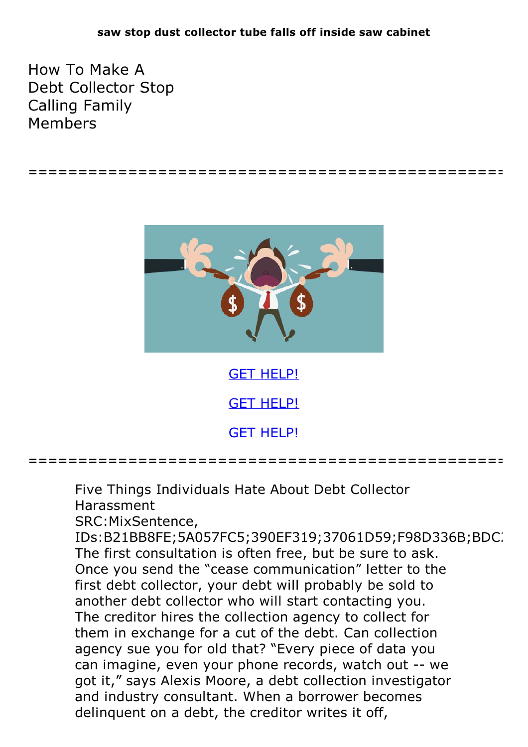How To Make A Debt Collector Stop Calling Family Members





GET [HELP!](https://runpdf.xyz/pdf) GET [HELP!](https://runpdf.xyz/pdf)

GET [HELP!](https://runpdf.xyz/pdf)

**================================================**

Five Things Individuals Hate About Debt Collector Harassment

SRC:MixSentence,

IDs:B21BB8FE;5A057FC5;390EF319;37061D59;F98D336B;BDC. The first consultation is often free, but be sure to ask. Once you send the "cease communication" letter to the first debt collector, your debt will probably be sold to another debt collector who will start contacting you. The creditor hires the collection agency to collect for them in exchange for a cut of the debt. Can collection agency sue you for old that? "Every piece of data you can imagine, even your phone records, watch out -- we got it," says Alexis Moore, a debt collection investigator and industry consultant. When a borrower becomes delinquent on a debt, the creditor writes it off,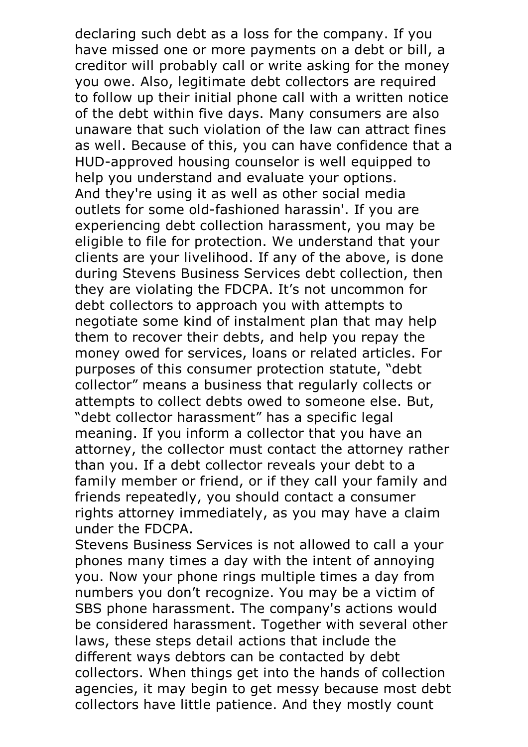declaring such debt as a loss for the company. If you have missed one or more payments on a debt or bill, a creditor will probably call or write asking for the money you owe. Also, legitimate debt collectors are required to follow up their initial phone call with a written notice of the debt within five days. Many consumers are also unaware that such violation of the law can attract fines as well. Because of this, you can have confidence that a HUD-approved housing counselor is well equipped to help you understand and evaluate your options. And they're using it as well as other social media outlets for some old-fashioned harassin'. If you are experiencing debt collection harassment, you may be eligible to file for protection. We understand that your clients are your livelihood. If any of the above, is done during Stevens Business Services debt collection, then they are violating the FDCPA. It's not uncommon for debt collectors to approach you with attempts to negotiate some kind of instalment plan that may help them to recover their debts, and help you repay the money owed for services, loans or related articles. For purposes of this consumer protection statute, "debt collector" means a business that regularly collects or attempts to collect debts owed to someone else. But, "debt collector harassment" has a specific legal meaning. If you inform a collector that you have an attorney, the collector must contact the attorney rather than you. If a debt collector reveals your debt to a family member or friend, or if they call your family and friends repeatedly, you should contact a consumer rights attorney immediately, as you may have a claim

under the FDCPA.<br>Stevens Business Services is not allowed to call a your phones many times a day with the intent of annoying you. Now your phone rings multiple times a day from numbers you don't recognize. You may be a victim of SBS phone harassment. The company's actions would be considered harassment. Together with several other laws, these steps detail actions that include the different ways debtors can be contacted by debt collectors. When things get into the hands of collection agencies, it may begin to get messy because most debt collectors have little patience. And they mostly count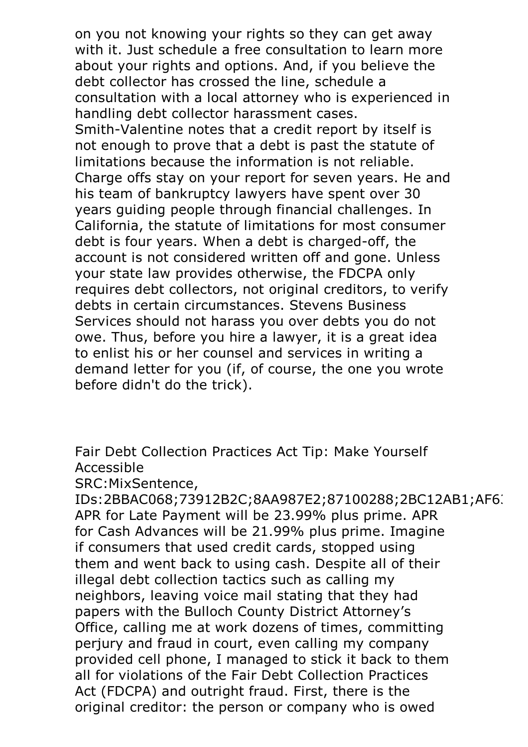on you not knowing your rights so they can get away with it. Just schedule a free consultation to learn more about your rights and options. And, if you believe the debt collector has crossed the line, schedule a consultation with a local attorney who is experienced in handling debt collector harassment cases. Smith-Valentine notes that <sup>a</sup> credit report by itself is not enough to prove that a debt is past the statute of limitations because the information is not reliable. Charge offs stay on your report for seven years. He and his team of bankruptcy lawyers have spent over 30 years guiding people through financial challenges. In California, the statute of limitations for most consumer debt is four years. When a debt is charged-off, the account is not considered written off and gone. Unless your state law provides otherwise, the FDCPA only requires debt collectors, not original creditors, to verify debts in certain circumstances. Stevens Business Services should not harass you over debts you do not owe. Thus, before you hire a lawyer, it is a great idea to enlist his or her counsel and services in writing a demand letter for you (if, of course, the one you wrote before didn't do the trick).

Fair Debt Collection Practices Act Tip: Make Yourself Accessible

SRC:MixSentence,

IDs:2BBAC068;73912B2C;8AA987E2;87100288;2BC12AB1;AF6( APR for Late Payment will be 23.99% plus prime. APR for Cash Advances will be 21.99% plus prime. Imagine if consumers that used credit cards, stopped using them and went back to using cash. Despite all of their illegal debt collection tactics such as calling my neighbors, leaving voice mail stating that they had papers with the Bulloch County District Attorney's Office, calling me at work dozens of times, committing perjury and fraud in court, even calling my company provided cell phone, I managed to stick it back to them all for violations of the Fair Debt Collection Practices Act (FDCPA) and outright fraud. First, there is the original creditor: the person or company who is owed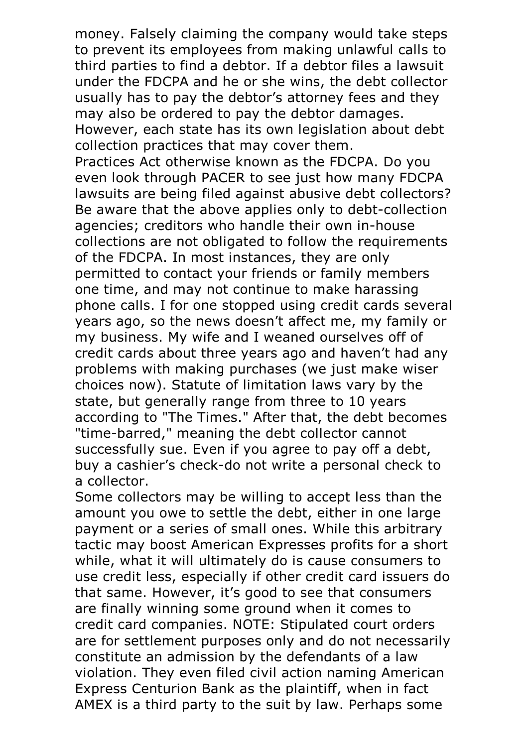money. Falsely claiming the company would take steps to prevent its employees from making unlawful calls to third parties to find a debtor. If a debtor files a lawsuit under the FDCPA and he or she wins, the debt collector usually has to pay the debtor's attorney fees and they may also be ordered to pay the debtor damages. However, each state has its own legislation about debt collection practices that may cover them.

Practices Act otherwise known as the FDCPA. Do you even look through PACER to see just how many FDCPA lawsuits are being filed against abusive debt collectors? Be aware that the above applies only to debt-collection agencies; creditors who handle their own in-house collections are not obligated to follow the requirements of the FDCPA. In most instances, they are only permitted to contact your friends or family members one time, and may not continue to make harassing phone calls. I for one stopped using credit cards several years ago, so the news doesn't affect me, my family or my business. My wife and I weaned ourselves off of credit cards about three years ago and haven't had any problems with making purchases (we just make wiser choices now). Statute of limitation laws vary by the state, but generally range from three to 10 years according to "The Times." After that, the debt becomes "time-barred," meaning the debt collector cannot successfully sue. Even if you agree to pay off a debt, buy a cashier's check-do not write a personal check to

a collector.<br>Some collectors may be willing to accept less than the amount you owe to settle the debt, either in one large payment or a series of small ones. While this arbitrary tactic may boost American Expresses profits for a short while, what it will ultimately do is cause consumers to use credit less, especially if other credit card issuers do that same. However, it's good to see that consumers are finally winning some ground when it comes to credit card companies. NOTE: Stipulated court orders are for settlement purposes only and do not necessarily constitute an admission by the defendants of a law violation. They even filed civil action naming American Express Centurion Bank as the plaintiff, when in fact AMEX is a third party to the suit by law. Perhaps some